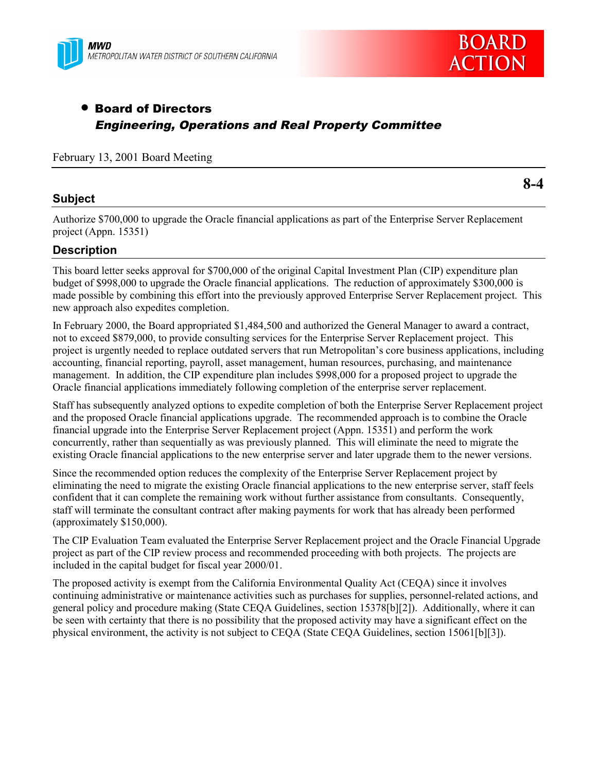



# • Board of Directors Engineering, Operations and Real Property Committee

February 13, 2001 Board Meeting

## **Subject**

**8-4**

Authorize \$700,000 to upgrade the Oracle financial applications as part of the Enterprise Server Replacement project (Appn. 15351)

## **Description**

This board letter seeks approval for \$700,000 of the original Capital Investment Plan (CIP) expenditure plan budget of \$998,000 to upgrade the Oracle financial applications. The reduction of approximately \$300,000 is made possible by combining this effort into the previously approved Enterprise Server Replacement project. This new approach also expedites completion.

In February 2000, the Board appropriated \$1,484,500 and authorized the General Manager to award a contract, not to exceed \$879,000, to provide consulting services for the Enterprise Server Replacement project. This project is urgently needed to replace outdated servers that run Metropolitan's core business applications, including accounting, financial reporting, payroll, asset management, human resources, purchasing, and maintenance management. In addition, the CIP expenditure plan includes \$998,000 for a proposed project to upgrade the Oracle financial applications immediately following completion of the enterprise server replacement.

Staff has subsequently analyzed options to expedite completion of both the Enterprise Server Replacement project and the proposed Oracle financial applications upgrade. The recommended approach is to combine the Oracle financial upgrade into the Enterprise Server Replacement project (Appn. 15351) and perform the work concurrently, rather than sequentially as was previously planned. This will eliminate the need to migrate the existing Oracle financial applications to the new enterprise server and later upgrade them to the newer versions.

Since the recommended option reduces the complexity of the Enterprise Server Replacement project by eliminating the need to migrate the existing Oracle financial applications to the new enterprise server, staff feels confident that it can complete the remaining work without further assistance from consultants. Consequently, staff will terminate the consultant contract after making payments for work that has already been performed (approximately \$150,000).

The CIP Evaluation Team evaluated the Enterprise Server Replacement project and the Oracle Financial Upgrade project as part of the CIP review process and recommended proceeding with both projects. The projects are included in the capital budget for fiscal year 2000/01.

The proposed activity is exempt from the California Environmental Quality Act (CEQA) since it involves continuing administrative or maintenance activities such as purchases for supplies, personnel-related actions, and general policy and procedure making (State CEQA Guidelines, section 15378[b][2]). Additionally, where it can be seen with certainty that there is no possibility that the proposed activity may have a significant effect on the physical environment, the activity is not subject to CEQA (State CEQA Guidelines, section 15061[b][3]).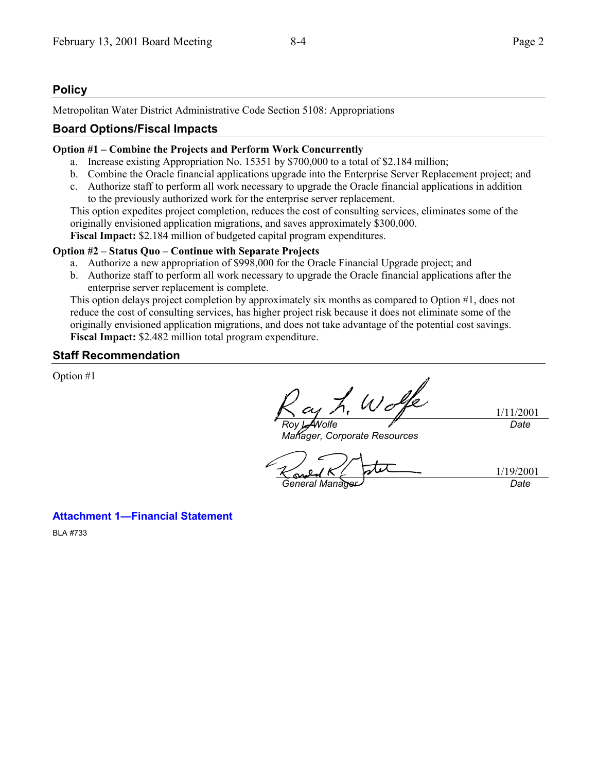# **Policy**

Metropolitan Water District Administrative Code Section 5108: Appropriations

## **Board Options/Fiscal Impacts**

#### **Option #1 – Combine the Projects and Perform Work Concurrently**

- a. Increase existing Appropriation No. 15351 by \$700,000 to a total of \$2.184 million;
- b. Combine the Oracle financial applications upgrade into the Enterprise Server Replacement project; and
- c. Authorize staff to perform all work necessary to upgrade the Oracle financial applications in addition to the previously authorized work for the enterprise server replacement.

This option expedites project completion, reduces the cost of consulting services, eliminates some of the originally envisioned application migrations, and saves approximately \$300,000.

**Fiscal Impact:** \$2.184 million of budgeted capital program expenditures.

#### **Option #2 – Status Quo – Continue with Separate Projects**

- a. Authorize a new appropriation of \$998,000 for the Oracle Financial Upgrade project; and
- b. Authorize staff to perform all work necessary to upgrade the Oracle financial applications after the enterprise server replacement is complete.

This option delays project completion by approximately six months as compared to Option #1, does not reduce the cost of consulting services, has higher project risk because it does not eliminate some of the originally envisioned application migrations, and does not take advantage of the potential cost savings. **Fiscal Impact:** \$2.482 million total program expenditure.

## **Staff Recommendation**

Option #1

Wolfe 1/11/2001 *Roy L. Wolfe Date*

*Manager, Corporate Resources*

1/19/2001 *General Manager Date*

## **Attachment 1—Financial Statement**

BLA #733